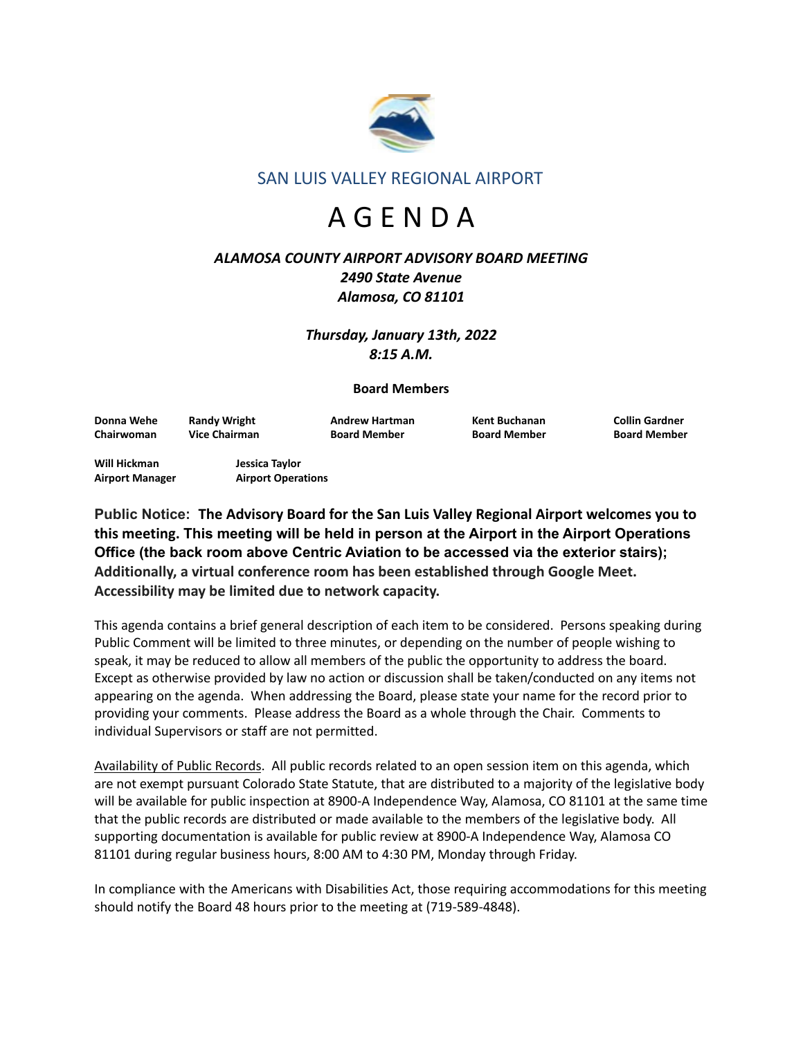

SAN LUIS VALLEY REGIONAL AIRPORT

# A G E N D A

## *ALAMOSA COUNTY AIRPORT ADVISORY BOARD MEETING 2490 State Avenue Alamosa, CO 81101*

*Thursday, January 13th, 2022 8:15 A.M.*

## **Board Members**

**Donna Wehe Randy Wright Andrew Hartman Kent Buchanan Collin Gardner Chairwoman Vice Chairman Board Member Board Member Board Member**

**Will Hickman Jessica Taylor Airport Manager Airport Operations**

**Public Notice: The Advisory Board for the San Luis Valley Regional Airport welcomes you to this meeting. This meeting will be held in person at the Airport in the Airport Operations Office (the back room above Centric Aviation to be accessed via the exterior stairs); Additionally, a virtual conference room has been established through Google Meet. Accessibility may be limited due to network capacity.**

This agenda contains a brief general description of each item to be considered. Persons speaking during Public Comment will be limited to three minutes, or depending on the number of people wishing to speak, it may be reduced to allow all members of the public the opportunity to address the board. Except as otherwise provided by law no action or discussion shall be taken/conducted on any items not appearing on the agenda. When addressing the Board, please state your name for the record prior to providing your comments. Please address the Board as a whole through the Chair. Comments to individual Supervisors or staff are not permitted.

Availability of Public Records. All public records related to an open session item on this agenda, which are not exempt pursuant Colorado State Statute, that are distributed to a majority of the legislative body will be available for public inspection at 8900-A Independence Way, Alamosa, CO 81101 at the same time that the public records are distributed or made available to the members of the legislative body. All supporting documentation is available for public review at 8900-A Independence Way, Alamosa CO 81101 during regular business hours, 8:00 AM to 4:30 PM, Monday through Friday.

In compliance with the Americans with Disabilities Act, those requiring accommodations for this meeting should notify the Board 48 hours prior to the meeting at (719-589-4848).